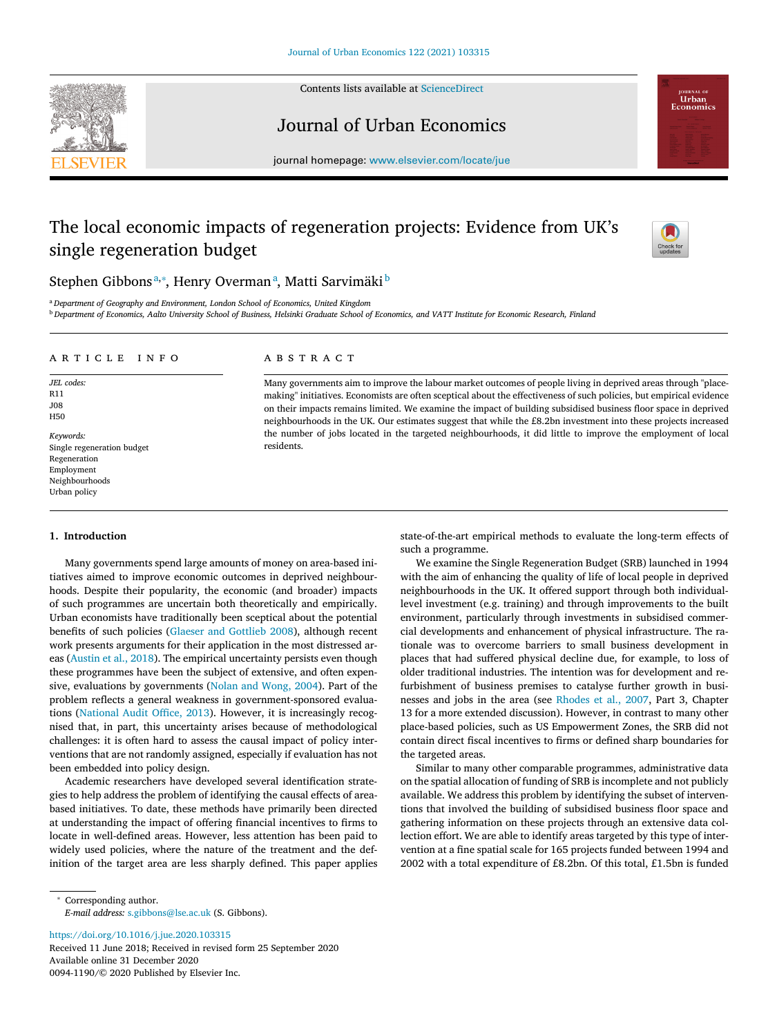Contents lists available at [ScienceDirect](http://www.ScienceDirect.com)



## Journal of Urban Economics



journal homepage: [www.elsevier.com/locate/jue](http://www.elsevier.com/locate/jue)

# The local economic impacts of regeneration projects: Evidence from UK's single regeneration budget



## Stephen Gibbonsª,\*, Henry Overmanª, Matti Sarvimäki<sup>b</sup>

<sup>a</sup> *Department of Geography and Environment, London School of Economics, United Kingdom*

<sup>b</sup> Department of Economics, Aalto University School of Business, Helsinki Graduate School of Economics, and VATT Institute for Economic Research, Finland

## a r t i c l e i n f o

*JEL codes:* R11 J08 H50

*Keywords:* Single regeneration budget Regeneration Employment Neighbourhoods Urban policy

## **1. Introduction**

Many governments spend large amounts of money on area-based initiatives aimed to improve economic outcomes in deprived neighbourhoods. Despite their popularity, the economic (and broader) impacts of such programmes are uncertain both theoretically and empirically. Urban economists have traditionally been sceptical about the potential benefits of such policies (Glaeser and [Gottlieb](#page-10-0) 2008), although recent work presents arguments for their application in the most distressed areas [\(Austin](#page-10-0) et al., 2018). The empirical uncertainty persists even though these programmes have been the subject of extensive, and often expensive, evaluations by governments (Nolan and [Wong,](#page-10-0) 2004). Part of the problem reflects a general weakness in government-sponsored evaluations [\(National](#page-10-0) Audit Office, 2013). However, it is increasingly recognised that, in part, this uncertainty arises because of methodological challenges: it is often hard to assess the causal impact of policy interventions that are not randomly assigned, especially if evaluation has not been embedded into policy design.

Academic researchers have developed several identification strategies to help address the problem of identifying the causal effects of areabased initiatives. To date, these methods have primarily been directed at understanding the impact of offering financial incentives to firms to locate in well-defined areas. However, less attention has been paid to widely used policies, where the nature of the treatment and the definition of the target area are less sharply defined. This paper applies

<https://doi.org/10.1016/j.jue.2020.103315>

Received 11 June 2018; Received in revised form 25 September 2020 Available online 31 December 2020 0094-1190/© 2020 Published by Elsevier Inc.

## a b s t r a c t

Many governments aim to improve the labour market outcomes of people living in deprived areas through "placemaking" initiatives. Economists are often sceptical about the effectiveness of such policies, but empirical evidence on their impacts remains limited. We examine the impact of building subsidised business floor space in deprived neighbourhoods in the UK. Our estimates suggest that while the £8.2bn investment into these projects increased the number of jobs located in the targeted neighbourhoods, it did little to improve the employment of local residents.

> state-of-the-art empirical methods to evaluate the long-term effects of such a programme.

> We examine the Single Regeneration Budget (SRB) launched in 1994 with the aim of enhancing the quality of life of local people in deprived neighbourhoods in the UK. It offered support through both individuallevel investment (e.g. training) and through improvements to the built environment, particularly through investments in subsidised commercial developments and enhancement of physical infrastructure. The rationale was to overcome barriers to small business development in places that had suffered physical decline due, for example, to loss of older traditional industries. The intention was for development and refurbishment of business premises to catalyse further growth in businesses and jobs in the area (see [Rhodes](#page-10-0) et al., 2007, Part 3, Chapter 13 for a more extended discussion). However, in contrast to many other place-based policies, such as US Empowerment Zones, the SRB did not contain direct fiscal incentives to firms or defined sharp boundaries for the targeted areas.

> Similar to many other comparable programmes, administrative data on the spatial allocation of funding of SRB is incomplete and not publicly available. We address this problem by identifying the subset of interventions that involved the building of subsidised business floor space and gathering information on these projects through an extensive data collection effort. We are able to identify areas targeted by this type of intervention at a fine spatial scale for 165 projects funded between 1994 and 2002 with a total expenditure of £8.2bn. Of this total, £1.5bn is funded

<sup>∗</sup> Corresponding author. *E-mail address:* [s.gibbons@lse.ac.uk](mailto:s.gibbons@lse.ac.uk) (S. Gibbons).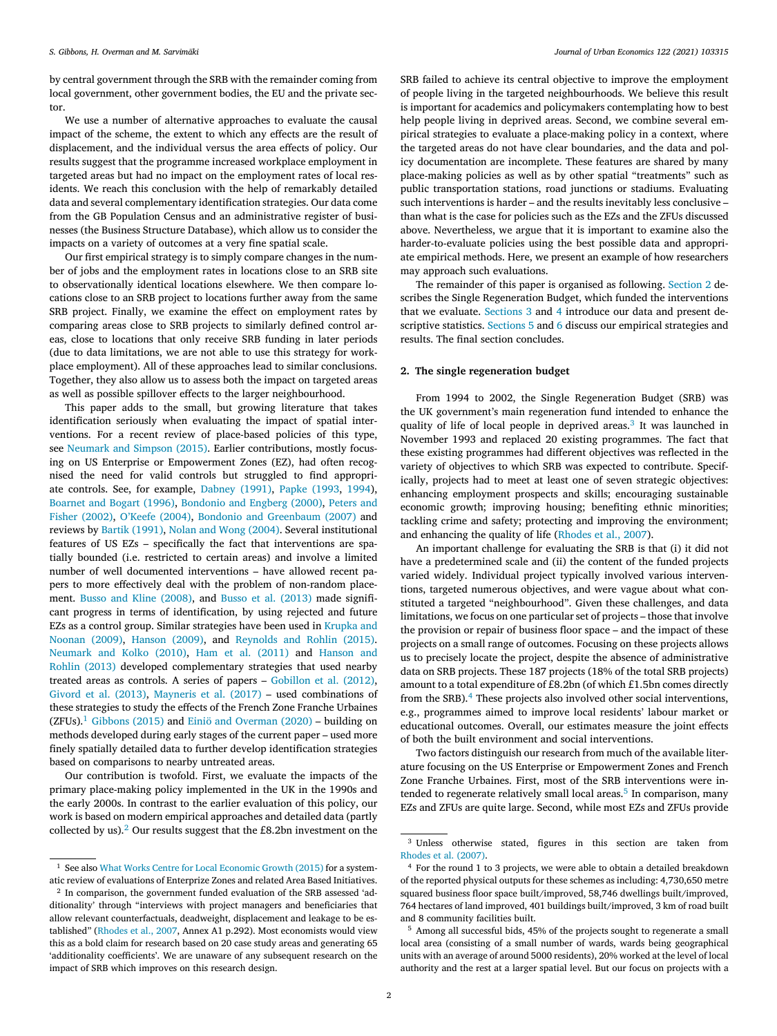<span id="page-1-0"></span>by central government through the SRB with the remainder coming from local government, other government bodies, the EU and the private sector.

We use a number of alternative approaches to evaluate the causal impact of the scheme, the extent to which any effects are the result of displacement, and the individual versus the area effects of policy. Our results suggest that the programme increased workplace employment in targeted areas but had no impact on the employment rates of local residents. We reach this conclusion with the help of remarkably detailed data and several complementary identification strategies. Our data come from the GB Population Census and an administrative register of businesses (the Business Structure Database), which allow us to consider the impacts on a variety of outcomes at a very fine spatial scale.

Our first empirical strategy is to simply compare changes in the number of jobs and the employment rates in locations close to an SRB site to observationally identical locations elsewhere. We then compare locations close to an SRB project to locations further away from the same SRB project. Finally, we examine the effect on employment rates by comparing areas close to SRB projects to similarly defined control areas, close to locations that only receive SRB funding in later periods (due to data limitations, we are not able to use this strategy for workplace employment). All of these approaches lead to similar conclusions. Together, they also allow us to assess both the impact on targeted areas as well as possible spillover effects to the larger neighbourhood.

This paper adds to the small, but growing literature that takes identification seriously when evaluating the impact of spatial interventions. For a recent review of place-based policies of this type, see [Neumark](#page-10-0) and Simpson (2015). Earlier contributions, mostly focusing on US Enterprise or Empowerment Zones (EZ), had often recognised the need for valid controls but struggled to find appropriate controls. See, for example, [Dabney](#page-10-0) (1991), Papke [\(1993,](#page-10-0) [1994\)](#page-10-0), [Boarnet](#page-9-0) and Bogart (1996), [Bondonio](#page-9-0) and Engberg (2000), Peters and Fisher (2002), [O'Keefe](#page-10-0) (2004), Bondonio and [Greenbaum](#page-10-0) (2007) and reviews by Bartik [\(1991\),](#page-9-0) Nolan and Wong [\(2004\).](#page-10-0) Several institutional features of US EZs – specifically the fact that interventions are spatially bounded (i.e. restricted to certain areas) and involve a limited number of well documented interventions – have allowed recent papers to more effectively deal with the problem of non-random placement. Busso and Kline [\(2008\),](#page-9-0) and Busso et al. [\(2013\)](#page-9-0) made significant progress in terms of identification, by using rejected and future EZs as a control group. Similar [strategies](#page-10-0) have been used in Krupka and Noonan (2009), [Hanson](#page-10-0) (2009), and [Reynolds](#page-10-0) and Rohlin (2015). [Neumark](#page-10-0) and Kolko (2010), Ham et al. [\(2011\)](#page-10-0) and Hanson and Rohlin (2013) developed [complementary](#page-10-0) strategies that used nearby treated areas as controls. A series of papers – [Gobillon](#page-10-0) et al. (2012), Givord et al. [\(2013\),](#page-10-0) [Mayneris](#page-10-0) et al. (2017) – used combinations of these strategies to study the effects of the French Zone Franche Urbaines (ZFUs).<sup>1</sup> [Gibbons](#page-10-0) (2015) and [Einiö and](#page-10-0) Overman (2020) – building on methods developed during early stages of the current paper – used more finely spatially detailed data to further develop identification strategies based on comparisons to nearby untreated areas.

Our contribution is twofold. First, we evaluate the impacts of the primary place-making policy implemented in the UK in the 1990s and the early 2000s. In contrast to the earlier evaluation of this policy, our work is based on modern empirical approaches and detailed data (partly collected by us).<sup>2</sup> Our results suggest that the  $E$ 8.2bn investment on the

SRB failed to achieve its central objective to improve the employment of people living in the targeted neighbourhoods. We believe this result is important for academics and policymakers contemplating how to best help people living in deprived areas. Second, we combine several empirical strategies to evaluate a place-making policy in a context, where the targeted areas do not have clear boundaries, and the data and policy documentation are incomplete. These features are shared by many place-making policies as well as by other spatial "treatments" such as public transportation stations, road junctions or stadiums. Evaluating such interventions is harder – and the results inevitably less conclusive – than what is the case for policies such as the EZs and the ZFUs discussed above. Nevertheless, we argue that it is important to examine also the harder-to-evaluate policies using the best possible data and appropriate empirical methods. Here, we present an example of how researchers may approach such evaluations.

The remainder of this paper is organised as following. Section 2 describes the Single Regeneration Budget, which funded the interventions that we evaluate. [Sections](#page-2-0) 3 and [4](#page-3-0) introduce our data and present descriptive statistics. [Sections](#page-3-0) 5 and [6](#page-7-0) discuss our empirical strategies and results. The final section concludes.

### **2. The single regeneration budget**

From 1994 to 2002, the Single Regeneration Budget (SRB) was the UK government's main regeneration fund intended to enhance the quality of life of local people in deprived areas.<sup>3</sup> It was launched in November 1993 and replaced 20 existing programmes. The fact that these existing programmes had different objectives was reflected in the variety of objectives to which SRB was expected to contribute. Specifically, projects had to meet at least one of seven strategic objectives: enhancing employment prospects and skills; encouraging sustainable economic growth; improving housing; benefiting ethnic minorities; tackling crime and safety; protecting and improving the environment; and enhancing the quality of life [\(Rhodes](#page-10-0) et al., 2007).

An important challenge for evaluating the SRB is that (i) it did not have a predetermined scale and (ii) the content of the funded projects varied widely. Individual project typically involved various interventions, targeted numerous objectives, and were vague about what constituted a targeted "neighbourhood". Given these challenges, and data limitations, we focus on one particular set of projects – those that involve the provision or repair of business floor space – and the impact of these projects on a small range of outcomes. Focusing on these projects allows us to precisely locate the project, despite the absence of administrative data on SRB projects. These 187 projects (18% of the total SRB projects) amount to a total expenditure of £8.2bn (of which £1.5bn comes directly from the SRB).<sup>4</sup> These projects also involved other social interventions, e.g., programmes aimed to improve local residents' labour market or educational outcomes. Overall, our estimates measure the joint effects of both the built environment and social interventions.

Two factors distinguish our research from much of the available literature focusing on the US Enterprise or Empowerment Zones and French Zone Franche Urbaines. First, most of the SRB interventions were intended to regenerate relatively small local areas.<sup>5</sup> In comparison, many EZs and ZFUs are quite large. Second, while most EZs and ZFUs provide

<sup>&</sup>lt;sup>1</sup> See also What Works Centre for Local [Economic](#page-10-0) Growth (2015) for a system-

atic review of evaluations of Enterprize Zones and related Area Based Initiatives. <sup>2</sup> In comparison, the government funded evaluation of the SRB assessed 'additionality' through "interviews with project managers and beneficiaries that allow relevant counterfactuals, deadweight, displacement and leakage to be established" [\(Rhodes](#page-10-0) et al., 2007, Annex A1 p.292). Most economists would view this as a bold claim for research based on 20 case study areas and generating 65 'additionality coefficients'. We are unaware of any subsequent research on the impact of SRB which improves on this research design.

<sup>3</sup> Unless otherwise stated, figures in this section are taken from [Rhodes](#page-10-0) et al. (2007).

<sup>4</sup> For the round 1 to 3 projects, we were able to obtain a detailed breakdown of the reported physical outputs for these schemes as including: 4,730,650 metre squared business floor space built/improved, 58,746 dwellings built/improved, 764 hectares of land improved, 401 buildings built/improved, 3 km of road built and 8 community facilities built.

<sup>5</sup> Among all successful bids, 45% of the projects sought to regenerate a small local area (consisting of a small number of wards, wards being geographical units with an average of around 5000 residents), 20% worked at the level of local authority and the rest at a larger spatial level. But our focus on projects with a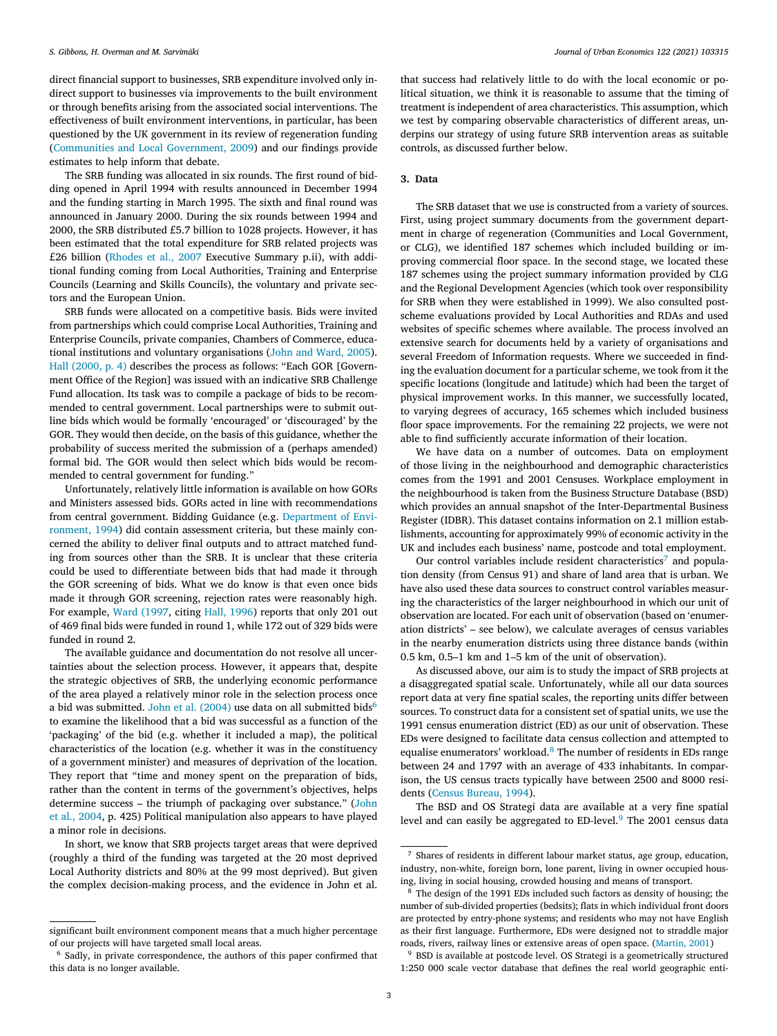<span id="page-2-0"></span>direct financial support to businesses, SRB expenditure involved only indirect support to businesses via improvements to the built environment or through benefits arising from the associated social interventions. The effectiveness of built environment interventions, in particular, has been questioned by the UK government in its review of regeneration funding [\(Communities](#page-9-0) and Local Government, 2009) and our findings provide estimates to help inform that debate.

The SRB funding was allocated in six rounds. The first round of bidding opened in April 1994 with results announced in December 1994 and the funding starting in March 1995. The sixth and final round was announced in January 2000. During the six rounds between 1994 and 2000, the SRB distributed £5.7 billion to 1028 projects. However, it has been estimated that the total expenditure for SRB related projects was £26 billion [\(Rhodes](#page-10-0) et al., 2007 Executive Summary p.ii), with additional funding coming from Local Authorities, Training and Enterprise Councils (Learning and Skills Councils), the voluntary and private sectors and the European Union.

SRB funds were allocated on a competitive basis. Bids were invited from partnerships which could comprise Local Authorities, Training and Enterprise Councils, private companies, Chambers of Commerce, educational institutions and voluntary organisations (John and [Ward,](#page-10-0) 2005). Hall [\(2000,](#page-10-0) p. 4) describes the process as follows: "Each GOR [Government Office of the Region] was issued with an indicative SRB Challenge Fund allocation. Its task was to compile a package of bids to be recommended to central government. Local partnerships were to submit outline bids which would be formally 'encouraged' or 'discouraged' by the GOR. They would then decide, on the basis of this guidance, whether the probability of success merited the submission of a (perhaps amended) formal bid. The GOR would then select which bids would be recommended to central government for funding."

Unfortunately, relatively little information is available on how GORs and Ministers assessed bids. GORs acted in line with recommendations from central [government.](#page-10-0) Bidding Guidance (e.g. Department of Environment, 1994) did contain assessment criteria, but these mainly concerned the ability to deliver final outputs and to attract matched funding from sources other than the SRB. It is unclear that these criteria could be used to differentiate between bids that had made it through the GOR screening of bids. What we do know is that even once bids made it through GOR screening, rejection rates were reasonably high. For example, Ward [\(1997,](#page-10-0) citing Hall, [1996\)](#page-10-0) reports that only 201 out of 469 final bids were funded in round 1, while 172 out of 329 bids were funded in round 2.

The available guidance and documentation do not resolve all uncertainties about the selection process. However, it appears that, despite the strategic objectives of SRB, the underlying economic performance of the area played a relatively minor role in the selection process once a bid was submitted. John et al. [\(2004\)](#page-10-0) use data on all submitted bids<sup>6</sup> to examine the likelihood that a bid was successful as a function of the 'packaging' of the bid (e.g. whether it included a map), the political characteristics of the location (e.g. whether it was in the constituency of a government minister) and measures of deprivation of the location. They report that "time and money spent on the preparation of bids, rather than the content in terms of the government's objectives, helps determine success – the triumph of packaging over [substance." \(John](#page-10-0) et al., 2004, p. 425) Political manipulation also appears to have played a minor role in decisions.

In short, we know that SRB projects target areas that were deprived (roughly a third of the funding was targeted at the 20 most deprived Local Authority districts and 80% at the 99 most deprived). But given the complex decision-making process, and the evidence in John et al.

that success had relatively little to do with the local economic or political situation, we think it is reasonable to assume that the timing of treatment is independent of area characteristics. This assumption, which we test by comparing observable characteristics of different areas, underpins our strategy of using future SRB intervention areas as suitable controls, as discussed further below.

## **3. Data**

The SRB dataset that we use is constructed from a variety of sources. First, using project summary documents from the government department in charge of regeneration (Communities and Local Government, or CLG), we identified 187 schemes which included building or improving commercial floor space. In the second stage, we located these 187 schemes using the project summary information provided by CLG and the Regional Development Agencies (which took over responsibility for SRB when they were established in 1999). We also consulted postscheme evaluations provided by Local Authorities and RDAs and used websites of specific schemes where available. The process involved an extensive search for documents held by a variety of organisations and several Freedom of Information requests. Where we succeeded in finding the evaluation document for a particular scheme, we took from it the specific locations (longitude and latitude) which had been the target of physical improvement works. In this manner, we successfully located, to varying degrees of accuracy, 165 schemes which included business floor space improvements. For the remaining 22 projects, we were not able to find sufficiently accurate information of their location.

We have data on a number of outcomes. Data on employment of those living in the neighbourhood and demographic characteristics comes from the 1991 and 2001 Censuses. Workplace employment in the neighbourhood is taken from the Business Structure Database (BSD) which provides an annual snapshot of the Inter-Departmental Business Register (IDBR). This dataset contains information on 2.1 million establishments, accounting for approximately 99% of economic activity in the UK and includes each business' name, postcode and total employment.

Our control variables include resident characteristics<sup>7</sup> and population density (from Census 91) and share of land area that is urban. We have also used these data sources to construct control variables measuring the characteristics of the larger neighbourhood in which our unit of observation are located. For each unit of observation (based on 'enumeration districts' – see below), we calculate averages of census variables in the nearby enumeration districts using three distance bands (within 0.5 km, 0.5–1 km and 1–5 km of the unit of observation).

As discussed above, our aim is to study the impact of SRB projects at a disaggregated spatial scale. Unfortunately, while all our data sources report data at very fine spatial scales, the reporting units differ between sources. To construct data for a consistent set of spatial units, we use the 1991 census enumeration district (ED) as our unit of observation. These EDs were designed to facilitate data census collection and attempted to equalise enumerators' workload.<sup>8</sup> The number of residents in EDs range between 24 and 1797 with an average of 433 inhabitants. In comparison, the US census tracts typically have between 2500 and 8000 residents (Census [Bureau,](#page-9-0) 1994).

The BSD and OS Strategi data are available at a very fine spatial level and can easily be aggregated to ED-level.<sup>9</sup> The 2001 census data

significant built environment component means that a much higher percentage of our projects will have targeted small local areas.

<sup>6</sup> Sadly, in private correspondence, the authors of this paper confirmed that this data is no longer available.

<sup>7</sup> Shares of residents in different labour market status, age group, education, industry, non-white, foreign born, lone parent, living in owner occupied housing, living in social housing, crowded housing and means of transport.

<sup>8</sup> The design of the 1991 EDs included such factors as density of housing; the number of sub-divided properties (bedsits); flats in which individual front doors are protected by entry-phone systems; and residents who may not have English as their first language. Furthermore, EDs were designed not to straddle major roads, rivers, railway lines or extensive areas of open space. [\(Martin,](#page-10-0) 2001)

<sup>&</sup>lt;sup>9</sup> BSD is available at postcode level. OS Strategi is a geometrically structured 1:250 000 scale vector database that defines the real world geographic enti-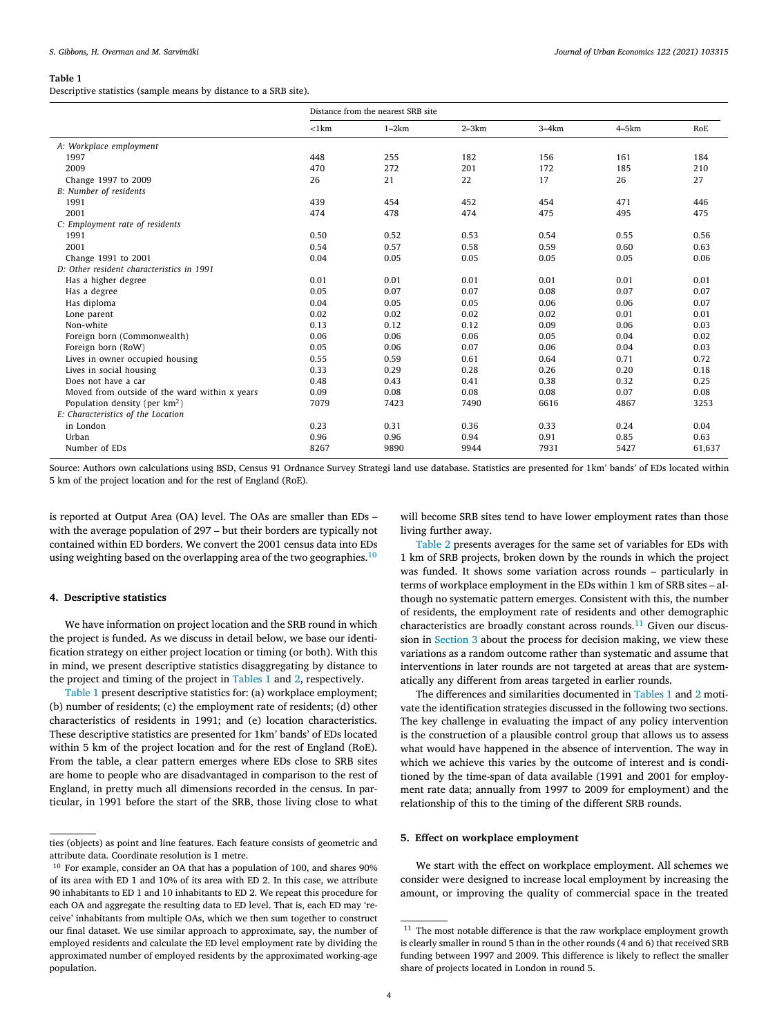<span id="page-3-0"></span>Descriptive statistics (sample means by distance to a SRB site).

|                                               | Distance from the nearest SRB site |         |         |         |         |        |
|-----------------------------------------------|------------------------------------|---------|---------|---------|---------|--------|
|                                               | $<$ 1 $km$                         | $1-2km$ | $2-3km$ | $3-4km$ | $4-5km$ | RoE    |
| A: Workplace employment                       |                                    |         |         |         |         |        |
| 1997                                          | 448                                | 255     | 182     | 156     | 161     | 184    |
| 2009                                          | 470                                | 272     | 201     | 172     | 185     | 210    |
| Change 1997 to 2009                           | 26                                 | 21      | 22      | 17      | 26      | 27     |
| B: Number of residents                        |                                    |         |         |         |         |        |
| 1991                                          | 439                                | 454     | 452     | 454     | 471     | 446    |
| 2001                                          | 474                                | 478     | 474     | 475     | 495     | 475    |
| C: Employment rate of residents               |                                    |         |         |         |         |        |
| 1991                                          | 0.50                               | 0.52    | 0.53    | 0.54    | 0.55    | 0.56   |
| 2001                                          | 0.54                               | 0.57    | 0.58    | 0.59    | 0.60    | 0.63   |
| Change 1991 to 2001                           | 0.04                               | 0.05    | 0.05    | 0.05    | 0.05    | 0.06   |
| D: Other resident characteristics in 1991     |                                    |         |         |         |         |        |
| Has a higher degree                           | 0.01                               | 0.01    | 0.01    | 0.01    | 0.01    | 0.01   |
| Has a degree                                  | 0.05                               | 0.07    | 0.07    | 0.08    | 0.07    | 0.07   |
| Has diploma                                   | 0.04                               | 0.05    | 0.05    | 0.06    | 0.06    | 0.07   |
| Lone parent                                   | 0.02                               | 0.02    | 0.02    | 0.02    | 0.01    | 0.01   |
| Non-white                                     | 0.13                               | 0.12    | 0.12    | 0.09    | 0.06    | 0.03   |
| Foreign born (Commonwealth)                   | 0.06                               | 0.06    | 0.06    | 0.05    | 0.04    | 0.02   |
| Foreign born (RoW)                            | 0.05                               | 0.06    | 0.07    | 0.06    | 0.04    | 0.03   |
| Lives in owner occupied housing               | 0.55                               | 0.59    | 0.61    | 0.64    | 0.71    | 0.72   |
| Lives in social housing                       | 0.33                               | 0.29    | 0.28    | 0.26    | 0.20    | 0.18   |
| Does not have a car                           | 0.48                               | 0.43    | 0.41    | 0.38    | 0.32    | 0.25   |
| Moved from outside of the ward within x years | 0.09                               | 0.08    | 0.08    | 0.08    | 0.07    | 0.08   |
| Population density (per $km^2$ )              | 7079                               | 7423    | 7490    | 6616    | 4867    | 3253   |
| E: Characteristics of the Location            |                                    |         |         |         |         |        |
| in London                                     | 0.23                               | 0.31    | 0.36    | 0.33    | 0.24    | 0.04   |
| Urban                                         | 0.96                               | 0.96    | 0.94    | 0.91    | 0.85    | 0.63   |
| Number of EDs                                 | 8267                               | 9890    | 9944    | 7931    | 5427    | 61,637 |

Source: Authors own calculations using BSD, Census 91 Ordnance Survey Strategi land use database. Statistics are presented for 1km' bands' of EDs located within 5 km of the project location and for the rest of England (RoE).

is reported at Output Area (OA) level. The OAs are smaller than EDs – with the average population of 297 – but their borders are typically not contained within ED borders. We convert the 2001 census data into EDs using weighting based on the overlapping area of the two geographies.<sup>10</sup>

## **4. Descriptive statistics**

We have information on project location and the SRB round in which the project is funded. As we discuss in detail below, we base our identification strategy on either project location or timing (or both). With this in mind, we present descriptive statistics disaggregating by distance to the project and timing of the project in Tables 1 and [2,](#page-4-0) respectively.

Table 1 present descriptive statistics for: (a) workplace employment; (b) number of residents; (c) the employment rate of residents; (d) other characteristics of residents in 1991; and (e) location characteristics. These descriptive statistics are presented for 1km' bands' of EDs located within 5 km of the project location and for the rest of England (RoE). From the table, a clear pattern emerges where EDs close to SRB sites are home to people who are disadvantaged in comparison to the rest of England, in pretty much all dimensions recorded in the census. In particular, in 1991 before the start of the SRB, those living close to what

will become SRB sites tend to have lower employment rates than those living further away.

[Table](#page-4-0) 2 presents averages for the same set of variables for EDs with 1 km of SRB projects, broken down by the rounds in which the project was funded. It shows some variation across rounds – particularly in terms of workplace employment in the EDs within 1 km of SRB sites – although no systematic pattern emerges. Consistent with this, the number of residents, the employment rate of residents and other demographic characteristics are broadly constant across rounds.<sup>11</sup> Given our discussion in [Section](#page-2-0) 3 about the process for decision making, we view these variations as a random outcome rather than systematic and assume that interventions in later rounds are not targeted at areas that are systematically any different from areas targeted in earlier rounds.

The differences and similarities documented in Tables 1 and [2](#page-4-0) motivate the identification strategies discussed in the following two sections. The key challenge in evaluating the impact of any policy intervention is the construction of a plausible control group that allows us to assess what would have happened in the absence of intervention. The way in which we achieve this varies by the outcome of interest and is conditioned by the time-span of data available (1991 and 2001 for employment rate data; annually from 1997 to 2009 for employment) and the relationship of this to the timing of the different SRB rounds.

## **5. Effect on workplace employment**

We start with the effect on workplace employment. All schemes we consider were designed to increase local employment by increasing the amount, or improving the quality of commercial space in the treated

ties (objects) as point and line features. Each feature consists of geometric and attribute data. Coordinate resolution is 1 metre.

<sup>&</sup>lt;sup>10</sup> For example, consider an OA that has a population of 100, and shares 90% of its area with ED 1 and 10% of its area with ED 2. In this case, we attribute 90 inhabitants to ED 1 and 10 inhabitants to ED 2. We repeat this procedure for each OA and aggregate the resulting data to ED level. That is, each ED may 'receive' inhabitants from multiple OAs, which we then sum together to construct our final dataset. We use similar approach to approximate, say, the number of employed residents and calculate the ED level employment rate by dividing the approximated number of employed residents by the approximated working-age population.

 $^{11}\,$  The most notable difference is that the raw workplace employment growth is clearly smaller in round 5 than in the other rounds (4 and 6) that received SRB funding between 1997 and 2009. This difference is likely to reflect the smaller share of projects located in London in round 5.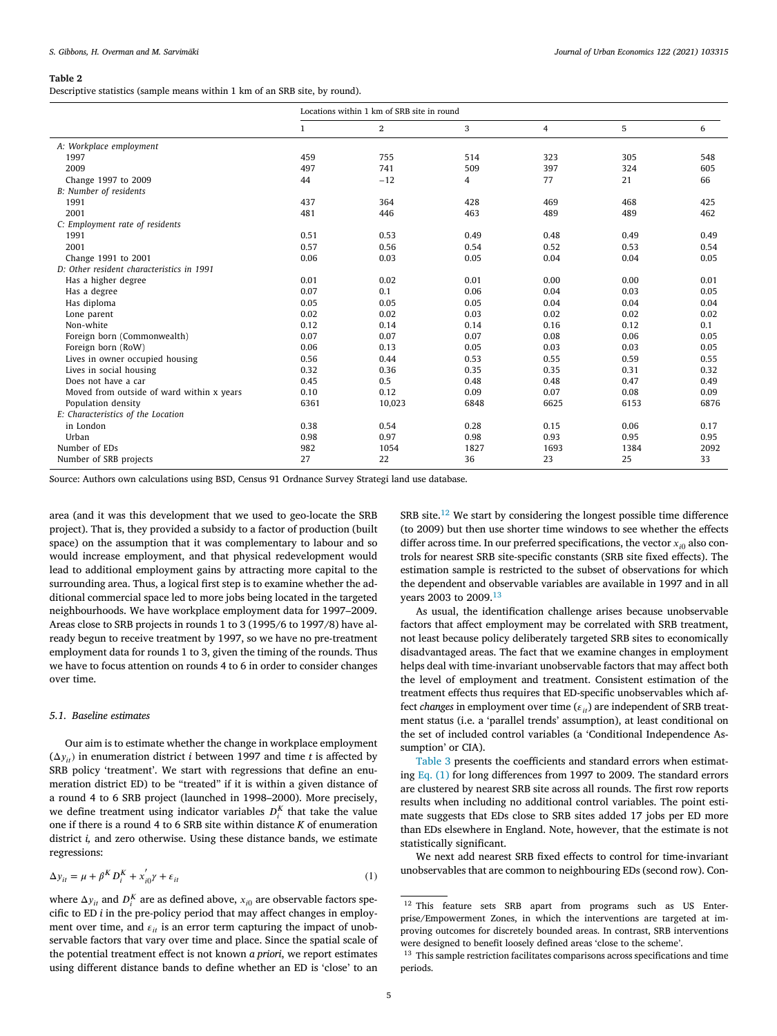<span id="page-4-0"></span>Descriptive statistics (sample means within 1 km of an SRB site, by round).

|                                           | Locations within 1 km of SRB site in round |        |      |      |      |      |
|-------------------------------------------|--------------------------------------------|--------|------|------|------|------|
|                                           | $\mathbf{1}$                               | $\,2$  | 3    | 4    | 5    | 6    |
| A: Workplace employment                   |                                            |        |      |      |      |      |
| 1997                                      | 459                                        | 755    | 514  | 323  | 305  | 548  |
| 2009                                      | 497                                        | 741    | 509  | 397  | 324  | 605  |
| Change 1997 to 2009                       | 44                                         | $-12$  | 4    | 77   | 21   | 66   |
| B: Number of residents                    |                                            |        |      |      |      |      |
| 1991                                      | 437                                        | 364    | 428  | 469  | 468  | 425  |
| 2001                                      | 481                                        | 446    | 463  | 489  | 489  | 462  |
| C: Employment rate of residents           |                                            |        |      |      |      |      |
| 1991                                      | 0.51                                       | 0.53   | 0.49 | 0.48 | 0.49 | 0.49 |
| 2001                                      | 0.57                                       | 0.56   | 0.54 | 0.52 | 0.53 | 0.54 |
| Change 1991 to 2001                       | 0.06                                       | 0.03   | 0.05 | 0.04 | 0.04 | 0.05 |
| D: Other resident characteristics in 1991 |                                            |        |      |      |      |      |
| Has a higher degree                       | 0.01                                       | 0.02   | 0.01 | 0.00 | 0.00 | 0.01 |
| Has a degree                              | 0.07                                       | 0.1    | 0.06 | 0.04 | 0.03 | 0.05 |
| Has diploma                               | 0.05                                       | 0.05   | 0.05 | 0.04 | 0.04 | 0.04 |
| Lone parent                               | 0.02                                       | 0.02   | 0.03 | 0.02 | 0.02 | 0.02 |
| Non-white                                 | 0.12                                       | 0.14   | 0.14 | 0.16 | 0.12 | 0.1  |
| Foreign born (Commonwealth)               | 0.07                                       | 0.07   | 0.07 | 0.08 | 0.06 | 0.05 |
| Foreign born (RoW)                        | 0.06                                       | 0.13   | 0.05 | 0.03 | 0.03 | 0.05 |
| Lives in owner occupied housing           | 0.56                                       | 0.44   | 0.53 | 0.55 | 0.59 | 0.55 |
| Lives in social housing                   | 0.32                                       | 0.36   | 0.35 | 0.35 | 0.31 | 0.32 |
| Does not have a car                       | 0.45                                       | 0.5    | 0.48 | 0.48 | 0.47 | 0.49 |
| Moved from outside of ward within x years | 0.10                                       | 0.12   | 0.09 | 0.07 | 0.08 | 0.09 |
| Population density                        | 6361                                       | 10,023 | 6848 | 6625 | 6153 | 6876 |
| E: Characteristics of the Location        |                                            |        |      |      |      |      |
| in London                                 | 0.38                                       | 0.54   | 0.28 | 0.15 | 0.06 | 0.17 |
| Urban                                     | 0.98                                       | 0.97   | 0.98 | 0.93 | 0.95 | 0.95 |
| Number of EDs                             | 982                                        | 1054   | 1827 | 1693 | 1384 | 2092 |
| Number of SRB projects                    | 27                                         | 22     | 36   | 23   | 25   | 33   |

Source: Authors own calculations using BSD, Census 91 Ordnance Survey Strategi land use database.

area (and it was this development that we used to geo-locate the SRB project). That is, they provided a subsidy to a factor of production (built space) on the assumption that it was complementary to labour and so would increase employment, and that physical redevelopment would lead to additional employment gains by attracting more capital to the surrounding area. Thus, a logical first step is to examine whether the additional commercial space led to more jobs being located in the targeted neighbourhoods. We have workplace employment data for 1997–2009. Areas close to SRB projects in rounds 1 to 3 (1995/6 to 1997/8) have already begun to receive treatment by 1997, so we have no pre-treatment employment data for rounds 1 to 3, given the timing of the rounds. Thus we have to focus attention on rounds 4 to 6 in order to consider changes over time.

## *5.1. Baseline estimates*

Our aim is to estimate whether the change in workplace employment  $(\Delta v_i)$  in enumeration district *i* between 1997 and time *t* is affected by SRB policy 'treatment'. We start with regressions that define an enumeration district ED) to be "treated" if it is within a given distance of a round 4 to 6 SRB project (launched in 1998–2000). More precisely, we define treatment using indicator variables  $D_i^K$  that take the value one if there is a round 4 to 6 SRB site within distance *K* of enumeration district *i,* and zero otherwise. Using these distance bands, we estimate regressions:

$$
\Delta y_{it} = \mu + \beta^K D_i^K + x_{i0}' \gamma + \varepsilon_{it}
$$
\n<sup>(1)</sup>

where  $\Delta y_{it}$  and  $D_i^K$  are as defined above,  $x_{i0}$  are observable factors specific to ED *i* in the pre-policy period that may affect changes in employment over time, and  $\varepsilon_{it}$  is an error term capturing the impact of unobservable factors that vary over time and place. Since the spatial scale of the potential treatment effect is not known *a priori*, we report estimates using different distance bands to define whether an ED is 'close' to an  ${\rm SRB}$  site.  $^{12}$  We start by considering the longest possible time difference (to 2009) but then use shorter time windows to see whether the effects differ across time. In our preferred specifications, the vector  $x_{i0}$  also controls for nearest SRB site-specific constants (SRB site fixed effects). The estimation sample is restricted to the subset of observations for which the dependent and observable variables are available in 1997 and in all years 2003 to 2009.<sup>13</sup>

As usual, the identification challenge arises because unobservable factors that affect employment may be correlated with SRB treatment, not least because policy deliberately targeted SRB sites to economically disadvantaged areas. The fact that we examine changes in employment helps deal with time-invariant unobservable factors that may affect both the level of employment and treatment. Consistent estimation of the treatment effects thus requires that ED-specific unobservables which affect *changes* in employment over time  $(\varepsilon_{it})$  are independent of SRB treatment status (i.e. a 'parallel trends' assumption), at least conditional on the set of included control variables (a 'Conditional Independence Assumption' or CIA).

[Table](#page-5-0) 3 presents the coefficients and standard errors when estimating Eq. (1) for long differences from 1997 to 2009. The standard errors are clustered by nearest SRB site across all rounds. The first row reports results when including no additional control variables. The point estimate suggests that EDs close to SRB sites added 17 jobs per ED more than EDs elsewhere in England. Note, however, that the estimate is not statistically significant.

We next add nearest SRB fixed effects to control for time-invariant unobservables that are common to neighbouring EDs (second row). Con-

<sup>&</sup>lt;sup>12</sup> This feature sets SRB apart from programs such as US Enterprise/Empowerment Zones, in which the interventions are targeted at improving outcomes for discretely bounded areas. In contrast, SRB interventions were designed to benefit loosely defined areas 'close to the scheme'.

<sup>&</sup>lt;sup>13</sup> This sample restriction facilitates comparisons across specifications and time periods.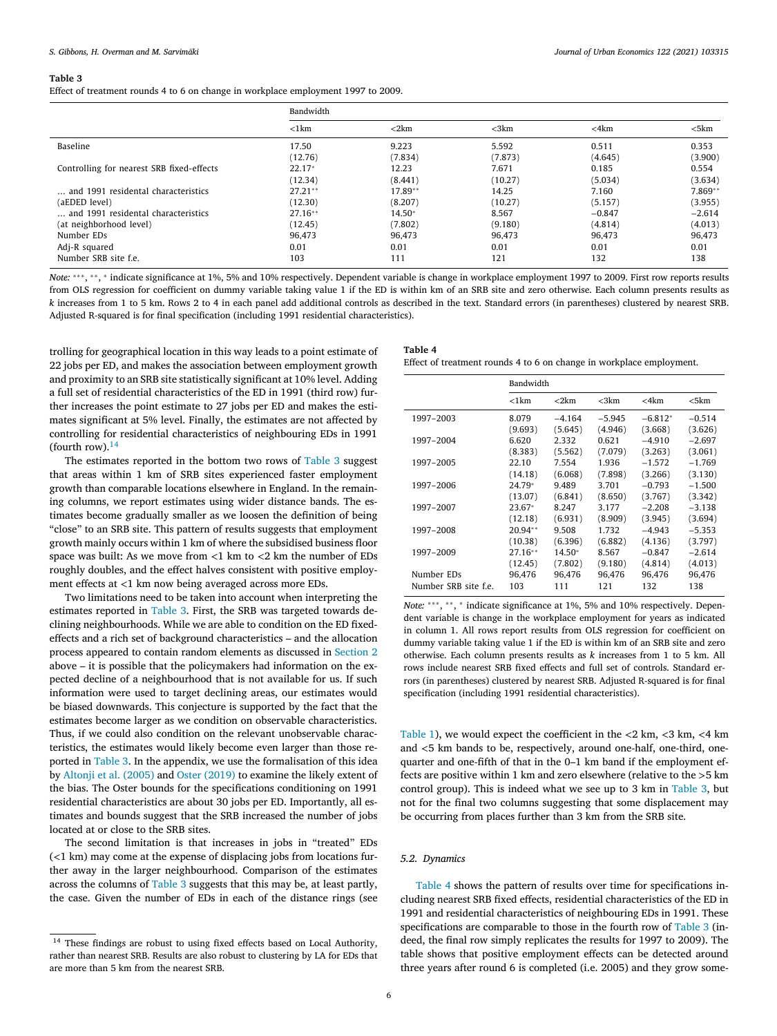<span id="page-5-0"></span>Effect of treatment rounds 4 to 6 on change in workplace employment 1997 to 2009.

|                                           | Bandwidth        |            |            |            |            |
|-------------------------------------------|------------------|------------|------------|------------|------------|
|                                           | $\langle$ 1 $km$ | $<$ 2 $km$ | $<$ 3 $km$ | $<$ 4 $km$ | $<$ 5 $km$ |
| Baseline                                  | 17.50            | 9.223      | 5.592      | 0.511      | 0.353      |
|                                           | (12.76)          | (7.834)    | (7.873)    | (4.645)    | (3.900)    |
| Controlling for nearest SRB fixed-effects | $22.17*$         | 12.23      | 7.671      | 0.185      | 0.554      |
|                                           | (12.34)          | (8.441)    | (10.27)    | (5.034)    | (3.634)    |
| and 1991 residental characteristics       | $27.21**$        | $17.89**$  | 14.25      | 7.160      | 7.869**    |
| (aEDED level)                             | (12.30)          | (8.207)    | (10.27)    | (5.157)    | (3.955)    |
| and 1991 residental characteristics       | $27.16**$        | 14.50*     | 8.567      | $-0.847$   | $-2.614$   |
| (at neighborhood level)                   | (12.45)          | (7.802)    | (9.180)    | (4.814)    | (4.013)    |
| Number EDs                                | 96.473           | 96,473     | 96.473     | 96.473     | 96.473     |
| Adj-R squared                             | 0.01             | 0.01       | 0.01       | 0.01       | 0.01       |
| Number SRB site f.e.                      | 103              | 111        | 121        | 132        | 138        |

*Note*: \*\*\*, \*\*, \* indicate significance at 1%, 5% and 10% respectively. Dependent variable is change in workplace employment 1997 to 2009. First row reports results from OLS regression for coefficient on dummy variable taking value 1 if the ED is within km of an SRB site and zero otherwise. Each column presents results as *k* increases from 1 to 5 km. Rows 2 to 4 in each panel add additional controls as described in the text. Standard errors (in parentheses) clustered by nearest SRB. Adjusted R-squared is for final specification (including 1991 residential characteristics).

trolling for geographical location in this way leads to a point estimate of 22 jobs per ED, and makes the association between employment growth and proximity to an SRB site statistically significant at 10% level. Adding a full set of residential characteristics of the ED in 1991 (third row) further increases the point estimate to 27 jobs per ED and makes the estimates significant at 5% level. Finally, the estimates are not affected by controlling for residential characteristics of neighbouring EDs in 1991 (fourth row).<sup>14</sup>

The estimates reported in the bottom two rows of Table 3 suggest that areas within 1 km of SRB sites experienced faster employment growth than comparable locations elsewhere in England. In the remaining columns, we report estimates using wider distance bands. The estimates become gradually smaller as we loosen the definition of being "close" to an SRB site. This pattern of results suggests that employment growth mainly occurs within 1 km of where the subsidised business floor space was built: As we move from *<*1 km to *<*2 km the number of EDs roughly doubles, and the effect halves consistent with positive employment effects at *<*1 km now being averaged across more EDs.

Two limitations need to be taken into account when interpreting the estimates reported in Table 3. First, the SRB was targeted towards declining neighbourhoods. While we are able to condition on the ED fixedeffects and a rich set of background characteristics – and the allocation process appeared to contain random elements as discussed in [Section](#page-1-0) 2 above – it is possible that the policymakers had information on the expected decline of a neighbourhood that is not available for us. If such information were used to target declining areas, our estimates would be biased downwards. This conjecture is supported by the fact that the estimates become larger as we condition on observable characteristics. Thus, if we could also condition on the relevant unobservable characteristics, the estimates would likely become even larger than those reported in Table 3. In the appendix, we use the formalisation of this idea by [Altonji](#page-10-0) et al. (2005) and Oster [\(2019\)](#page-10-0) to examine the likely extent of the bias. The Oster bounds for the specifications conditioning on 1991 residential characteristics are about 30 jobs per ED. Importantly, all estimates and bounds suggest that the SRB increased the number of jobs located at or close to the SRB sites.

The second limitation is that increases in jobs in "treated" EDs (*<*1 km) may come at the expense of displacing jobs from locations further away in the larger neighbourhood. Comparison of the estimates across the columns of Table 3 suggests that this may be, at least partly, the case. Given the number of EDs in each of the distance rings (see

| Table 4                                                              |
|----------------------------------------------------------------------|
| Effect of treatment rounds 4 to 6 on change in workplace employment. |

|                      | Bandwidth |            |            |            |          |
|----------------------|-----------|------------|------------|------------|----------|
|                      | < 1 km    | $<$ 2 $km$ | $<$ 3 $km$ | $<$ 4 $km$ | <5km     |
| 1997-2003            | 8.079     | $-4.164$   | $-5.945$   | $-6.812*$  | $-0.514$ |
|                      | (9.693)   | (5.645)    | (4.946)    | (3.668)    | (3.626)  |
| 1997-2004            | 6.620     | 2.332      | 0.621      | $-4.910$   | $-2.697$ |
|                      | (8.383)   | (5.562)    | (7.079)    | (3.263)    | (3.061)  |
| 1997-2005            | 22.10     | 7.554      | 1.936      | $-1.572$   | $-1.769$ |
|                      | (14.18)   | (6.068)    | (7.898)    | (3.266)    | (3.130)  |
| 1997-2006            | 24.79*    | 9.489      | 3.701      | $-0.793$   | $-1.500$ |
|                      | (13.07)   | (6.841)    | (8.650)    | (3.767)    | (3.342)  |
| 1997-2007            | $23.67*$  | 8.247      | 3.177      | $-2.208$   | $-3.138$ |
|                      | (12.18)   | (6.931)    | (8.909)    | (3.945)    | (3.694)  |
| 1997-2008            | $20.94**$ | 9.508      | 1.732      | $-4.943$   | $-5.353$ |
|                      | (10.38)   | (6.396)    | (6.882)    | (4.136)    | (3.797)  |
| 1997-2009            | $27.16**$ | 14.50*     | 8.567      | $-0.847$   | $-2.614$ |
|                      | (12.45)   | (7.802)    | (9.180)    | (4.814)    | (4.013)  |
| Number EDs           | 96,476    | 96,476     | 96,476     | 96,476     | 96.476   |
| Number SRB site f.e. | 103       | 111        | 121        | 132        | 138      |

*Note*: \*\*\*, \*\*, \* indicate significance at 1%, 5% and 10% respectively. Dependent variable is change in the workplace employment for years as indicated in column 1. All rows report results from OLS regression for coefficient on dummy variable taking value 1 if the ED is within km of an SRB site and zero otherwise. Each column presents results as *k* increases from 1 to 5 km. All rows include nearest SRB fixed effects and full set of controls. Standard errors (in parentheses) clustered by nearest SRB. Adjusted R-squared is for final specification (including 1991 residential characteristics).

[Table](#page-3-0) 1), we would expect the coefficient in the *<*2 km, *<*3 km, *<*4 km and *<*5 km bands to be, respectively, around one-half, one-third, onequarter and one-fifth of that in the 0–1 km band if the employment effects are positive within 1 km and zero elsewhere (relative to the *>*5 km control group). This is indeed what we see up to 3 km in Table 3, but not for the final two columns suggesting that some displacement may be occurring from places further than 3 km from the SRB site.

## *5.2. Dynamics*

Table 4 shows the pattern of results over time for specifications including nearest SRB fixed effects, residential characteristics of the ED in 1991 and residential characteristics of neighbouring EDs in 1991. These specifications are comparable to those in the fourth row of Table 3 (indeed, the final row simply replicates the results for 1997 to 2009). The table shows that positive employment effects can be detected around three years after round 6 is completed (i.e. 2005) and they grow some-

 $14$  These findings are robust to using fixed effects based on Local Authority, rather than nearest SRB. Results are also robust to clustering by LA for EDs that are more than 5 km from the nearest SRB.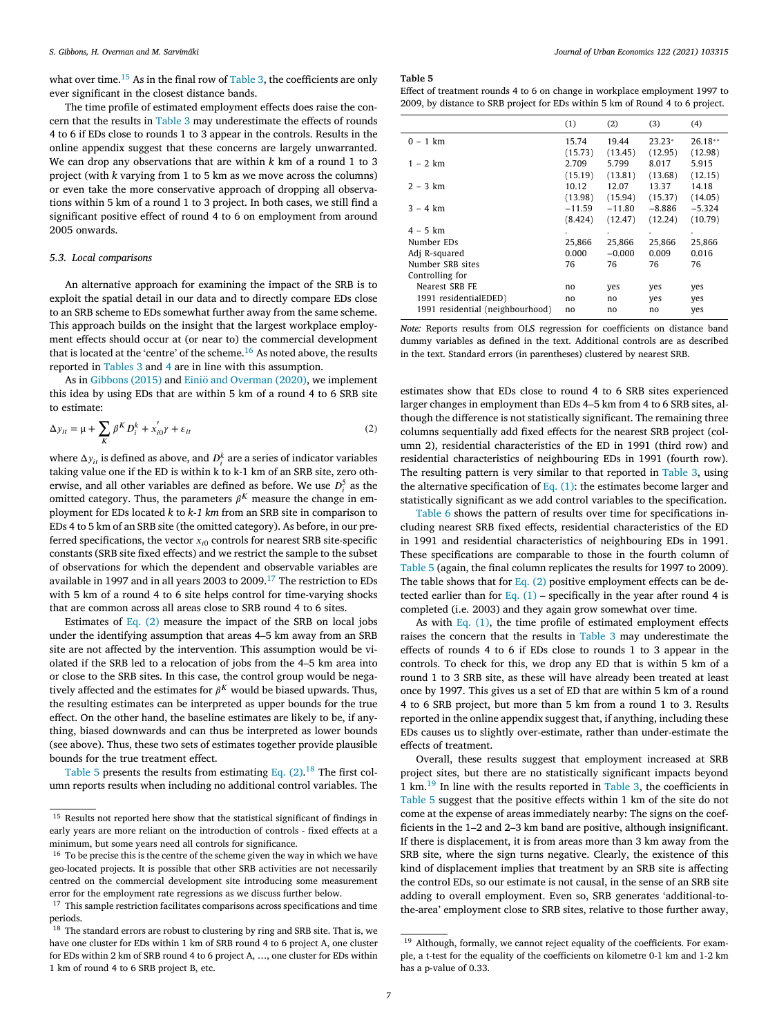<span id="page-6-0"></span>what over time.<sup>15</sup> As in the final row of [Table](#page-5-0) 3, the coefficients are only ever significant in the closest distance bands.

The time profile of estimated employment effects does raise the concern that the results in [Table](#page-5-0) 3 may underestimate the effects of rounds 4 to 6 if EDs close to rounds 1 to 3 appear in the controls. Results in the online appendix suggest that these concerns are largely unwarranted. We can drop any observations that are within *k* km of a round 1 to 3 project (with *k* varying from 1 to 5 km as we move across the columns) or even take the more conservative approach of dropping all observations within 5 km of a round 1 to 3 project. In both cases, we still find a significant positive effect of round 4 to 6 on employment from around 2005 onwards.

### *5.3. Local comparisons*

An alternative approach for examining the impact of the SRB is to exploit the spatial detail in our data and to directly compare EDs close to an SRB scheme to EDs somewhat further away from the same scheme. This approach builds on the insight that the largest workplace employment effects should occur at (or near to) the commercial development that is located at the 'centre' of the scheme.<sup>16</sup> As noted above, the results reported in [Tables](#page-5-0) 3 and [4](#page-5-0) are in line with this assumption.

As in [Gibbons](#page-10-0) (2015) and [Einiö and](#page-10-0) Overman (2020), we implement this idea by using EDs that are within 5 km of a round 4 to 6 SRB site to estimate:

$$
\Delta y_{it} = \mu + \sum_{K} \beta^{K} D_{i}^{k} + x_{i0}^{\prime} \gamma + \varepsilon_{it}
$$
\n<sup>(2)</sup>

where  $\Delta y_{it}$  is defined as above, and  $D_i^k$  are a series of indicator variables taking value one if the ED is within k to k-1 km of an SRB site, zero otherwise, and all other variables are defined as before. We use  $D_i^5$  as the omitted category. Thus, the parameters  $\beta^{K}$  measure the change in employment for EDs located *k* to *k-1 km* from an SRB site in comparison to EDs 4 to 5 km of an SRB site (the omitted category). As before, in our preferred specifications, the vector  $x_{i0}$  controls for nearest SRB site-specific constants (SRB site fixed effects) and we restrict the sample to the subset of observations for which the dependent and observable variables are available in 1997 and in all years 2003 to 2009.<sup>17</sup> The restriction to EDs with 5 km of a round 4 to 6 site helps control for time-varying shocks that are common across all areas close to SRB round 4 to 6 sites.

Estimates of Eq. (2) measure the impact of the SRB on local jobs under the identifying assumption that areas 4–5 km away from an SRB site are not affected by the intervention. This assumption would be violated if the SRB led to a relocation of jobs from the 4–5 km area into or close to the SRB sites. In this case, the control group would be negatively affected and the estimates for  $\beta^{K}$  would be biased upwards. Thus, the resulting estimates can be interpreted as upper bounds for the true effect. On the other hand, the baseline estimates are likely to be, if anything, biased downwards and can thus be interpreted as lower bounds (see above). Thus, these two sets of estimates together provide plausible bounds for the true treatment effect.

Table 5 presents the results from estimating Eq.  $(2)$ .<sup>18</sup> The first column reports results when including no additional control variables. The

#### **Table 5**

Effect of treatment rounds 4 to 6 on change in workplace employment 1997 to 2009, by distance to SRB project for EDs within 5 km of Round 4 to 6 project.

|                                  | (1)      | (2)      | (3)      | (4)       |
|----------------------------------|----------|----------|----------|-----------|
| $0 - 1$ km                       | 15.74    | 19.44    | $23.23*$ | $26.18**$ |
|                                  | (15.73)  | (13.45)  | (12.95)  | (12.98)   |
| $1 - 2 km$                       | 2.709    | 5.799    | 8.017    | 5.915     |
|                                  | (15.19)  | (13.81)  | (13.68)  | (12.15)   |
| $2 - 3 km$                       | 10.12    | 12.07    | 13.37    | 14.18     |
|                                  | (13.98)  | (15.94)  | (15.37)  | (14.05)   |
| $3 - 4 km$                       | $-11.59$ | $-11.80$ | $-8.886$ | $-5.324$  |
|                                  | (8.424)  | (12.47)  | (12.24)  | (10.79)   |
| $4 - 5$ km                       | ٠        |          |          |           |
| Number EDs                       | 25,866   | 25.866   | 25.866   | 25,866    |
| Adj R-squared                    | 0.000    | $-0.000$ | 0.009    | 0.016     |
| Number SRB sites                 | 76       | 76       | 76       | 76        |
| Controlling for                  |          |          |          |           |
| Nearest SRB FE                   | no       | yes      | yes      | yes       |
| 1991 residentialEDED)            | no       | no       | yes      | yes       |
| 1991 residential (neighbourhood) | no       | no       | no       | yes       |
|                                  |          |          |          |           |

*Note:* Reports results from OLS regression for coefficients on distance band dummy variables as defined in the text. Additional controls are as described in the text. Standard errors (in parentheses) clustered by nearest SRB.

estimates show that EDs close to round 4 to 6 SRB sites experienced larger changes in employment than EDs 4–5 km from 4 to 6 SRB sites, although the difference is not statistically significant. The remaining three columns sequentially add fixed effects for the nearest SRB project (column 2), residential characteristics of the ED in 1991 (third row) and residential characteristics of neighbouring EDs in 1991 (fourth row). The resulting pattern is very similar to that reported in [Table](#page-5-0) 3, using the alternative specification of Eq.  $(1)$ : the estimates become larger and statistically significant as we add control variables to the specification.

[Table](#page-7-0) 6 shows the pattern of results over time for specifications including nearest SRB fixed effects, residential characteristics of the ED in 1991 and residential characteristics of neighbouring EDs in 1991. These specifications are comparable to those in the fourth column of Table 5 (again, the final column replicates the results for 1997 to 2009). The table shows that for Eq. (2) positive employment effects can be de-tected earlier than for [Eq.](#page-4-0)  $(1)$  – specifically in the year after round 4 is completed (i.e. 2003) and they again grow somewhat over time.

As with Eq. [\(1\),](#page-4-0) the time profile of estimated employment effects raises the concern that the results in [Table](#page-5-0) 3 may underestimate the effects of rounds 4 to 6 if EDs close to rounds 1 to 3 appear in the controls. To check for this, we drop any ED that is within 5 km of a round 1 to 3 SRB site, as these will have already been treated at least once by 1997. This gives us a set of ED that are within 5 km of a round 4 to 6 SRB project, but more than 5 km from a round 1 to 3. Results reported in the online appendix suggest that, if anything, including these EDs causes us to slightly over-estimate, rather than under-estimate the effects of treatment.

Overall, these results suggest that employment increased at SRB project sites, but there are no statistically significant impacts beyond  $1 \text{ km.}^{19}$  In line with the results reported in [Table](#page-5-0) 3, the coefficients in Table 5 suggest that the positive effects within 1 km of the site do not come at the expense of areas immediately nearby: The signs on the coefficients in the 1–2 and 2–3 km band are positive, although insignificant. If there is displacement, it is from areas more than 3 km away from the SRB site, where the sign turns negative. Clearly, the existence of this kind of displacement implies that treatment by an SRB site is affecting the control EDs, so our estimate is not causal, in the sense of an SRB site adding to overall employment. Even so, SRB generates 'additional-tothe-area' employment close to SRB sites, relative to those further away,

 $15$  Results not reported here show that the statistical significant of findings in early years are more reliant on the introduction of controls - fixed effects at a minimum, but some years need all controls for significance.

<sup>&</sup>lt;sup>16</sup> To be precise this is the centre of the scheme given the way in which we have geo-located projects. It is possible that other SRB activities are not necessarily centred on the commercial development site introducing some measurement error for the employment rate regressions as we discuss further below.

<sup>&</sup>lt;sup>17</sup> This sample restriction facilitates comparisons across specifications and time periods.

 $18$  The standard errors are robust to clustering by ring and SRB site. That is, we have one cluster for EDs within 1 km of SRB round 4 to 6 project A, one cluster for EDs within 2 km of SRB round 4 to 6 project A, …, one cluster for EDs within 1 km of round 4 to 6 SRB project B, etc.

<sup>&</sup>lt;sup>19</sup> Although, formally, we cannot reject equality of the coefficients. For example, a t-test for the equality of the coefficients on kilometre 0-1 km and 1-2 km has a p-value of 0.33.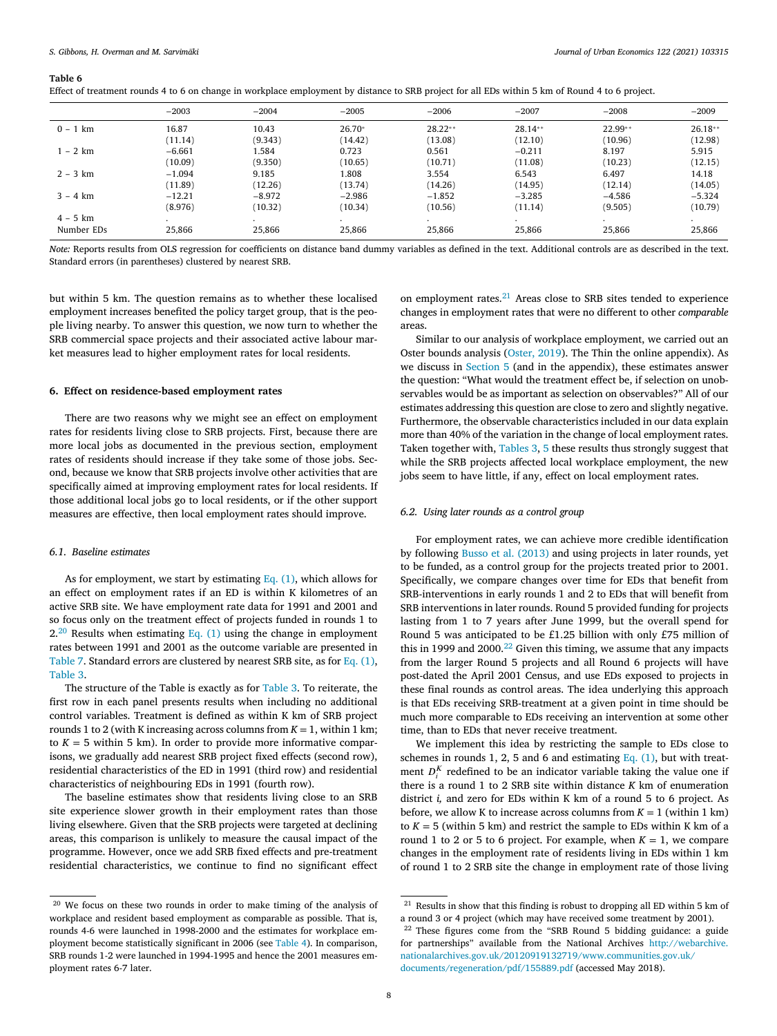|            | $-2003$  | $-2004$  | $-2005$  | $-2006$      | $-2007$   | $-2008$   | $-2009$   |
|------------|----------|----------|----------|--------------|-----------|-----------|-----------|
| $0 - 1$ km | 16.87    | 10.43    | 26.70*   | $28.22**$    | $28.14**$ | $22.99**$ | $26.18**$ |
|            | (11.14)  | (9.343)  | (14.42)  | (13.08)      | (12.10)   | (10.96)   | (12.98)   |
| $1 - 2 km$ | $-6.661$ | 1.584    | 0.723    | 0.561        | $-0.211$  | 8.197     | 5.915     |
|            | (10.09)  | (9.350)  | (10.65)  | (10.71)      | (11.08)   | (10.23)   | (12.15)   |
| $2 - 3 km$ | $-1.094$ | 9.185    | 808.     | 3.554        | 6.543     | 6.497     | 14.18     |
|            | (11.89)  | (12.26)  | (13.74)  | (14.26)      | (14.95)   | (12.14)   | (14.05)   |
| $3 - 4 km$ | $-12.21$ | $-8.972$ | $-2.986$ | $-1.852$     | $-3.285$  | $-4.586$  | $-5.324$  |
|            | (8.976)  | (10.32)  | (10.34)  | (10.56)      | (11.14)   | (9.505)   | (10.79)   |
| $4 - 5$ km |          |          |          | $\mathbf{r}$ | $\cdot$   | $\cdot$   |           |
| Number EDs | 25.866   | 25.866   | 25.866   | 25,866       | 25.866    | 25.866    | 25.866    |

<span id="page-7-0"></span>Effect of treatment rounds 4 to 6 on change in workplace employment by distance to SRB project for all EDs within 5 km of Round 4 to 6 project.

*Note:* Reports results from OLS regression for coefficients on distance band dummy variables as defined in the text. Additional controls are as described in the text. Standard errors (in parentheses) clustered by nearest SRB.

but within 5 km. The question remains as to whether these localised employment increases benefited the policy target group, that is the people living nearby. To answer this question, we now turn to whether the SRB commercial space projects and their associated active labour market measures lead to higher employment rates for local residents.

## **6. Effect on residence-based employment rates**

There are two reasons why we might see an effect on employment rates for residents living close to SRB projects. First, because there are more local jobs as documented in the previous section, employment rates of residents should increase if they take some of those jobs. Second, because we know that SRB projects involve other activities that are specifically aimed at improving employment rates for local residents. If those additional local jobs go to local residents, or if the other support measures are effective, then local employment rates should improve.

## *6.1. Baseline estimates*

As for employment, we start by estimating Eq.  $(1)$ , which allows for an effect on employment rates if an ED is within K kilometres of an active SRB site. We have employment rate data for 1991 and 2001 and so focus only on the treatment effect of projects funded in rounds 1 to  $2.^{20}$  Results when estimating [Eq.](#page-4-0) (1) using the change in employment rates between 1991 and 2001 as the outcome variable are presented in [Table](#page-8-0) 7. Standard errors are clustered by nearest SRB site, as for Eq. [\(1\),](#page-4-0) [Table](#page-5-0) 3.

The structure of the Table is exactly as for [Table](#page-5-0) 3. To reiterate, the first row in each panel presents results when including no additional control variables. Treatment is defined as within K km of SRB project rounds 1 to 2 (with K increasing across columns from  $K = 1$ , within 1 km; to  $K = 5$  within 5 km). In order to provide more informative comparisons, we gradually add nearest SRB project fixed effects (second row), residential characteristics of the ED in 1991 (third row) and residential characteristics of neighbouring EDs in 1991 (fourth row).

The baseline estimates show that residents living close to an SRB site experience slower growth in their employment rates than those living elsewhere. Given that the SRB projects were targeted at declining areas, this comparison is unlikely to measure the causal impact of the programme. However, once we add SRB fixed effects and pre-treatment residential characteristics, we continue to find no significant effect on employment rates.<sup>21</sup> Areas close to SRB sites tended to experience changes in employment rates that were no different to other *comparable* areas.

Similar to our analysis of workplace employment, we carried out an Oster bounds analysis [\(Oster,](#page-10-0) 2019). The Thin the online appendix). As we discuss in [Section](#page-3-0) 5 (and in the appendix), these estimates answer the question: "What would the treatment effect be, if selection on unobservables would be as important as selection on observables?" All of our estimates addressing this question are close to zero and slightly negative. Furthermore, the observable characteristics included in our data explain more than 40% of the variation in the change of local employment rates. Taken together with, [Tables](#page-5-0) 3, [5](#page-6-0) these results thus strongly suggest that while the SRB projects affected local workplace employment, the new jobs seem to have little, if any, effect on local employment rates.

## *6.2. Using later rounds as a control group*

For employment rates, we can achieve more credible identification by following Busso et al. [\(2013\)](#page-9-0) and using projects in later rounds, yet to be funded, as a control group for the projects treated prior to 2001. Specifically, we compare changes over time for EDs that benefit from SRB-interventions in early rounds 1 and 2 to EDs that will benefit from SRB interventions in later rounds. Round 5 provided funding for projects lasting from 1 to 7 years after June 1999, but the overall spend for Round 5 was anticipated to be £1.25 billion with only £75 million of this in 1999 and 2000.<sup>22</sup> Given this timing, we assume that any impacts from the larger Round 5 projects and all Round 6 projects will have post-dated the April 2001 Census, and use EDs exposed to projects in these final rounds as control areas. The idea underlying this approach is that EDs receiving SRB-treatment at a given point in time should be much more comparable to EDs receiving an intervention at some other time, than to EDs that never receive treatment.

We implement this idea by restricting the sample to EDs close to schemes in rounds 1, 2, 5 and 6 and estimating Eq.  $(1)$ , but with treatment  $D_i^K$  redefined to be an indicator variable taking the value one if there is a round 1 to 2 SRB site within distance *K* km of enumeration district *i,* and zero for EDs within K km of a round 5 to 6 project. As before, we allow K to increase across columns from  $K = 1$  (within 1 km) to  $K = 5$  (within 5 km) and restrict the sample to EDs within K km of a round 1 to 2 or 5 to 6 project. For example, when  $K = 1$ , we compare changes in the employment rate of residents living in EDs within 1 km of round 1 to 2 SRB site the change in employment rate of those living

<sup>&</sup>lt;sup>20</sup> We focus on these two rounds in order to make timing of the analysis of workplace and resident based employment as comparable as possible. That is, rounds 4-6 were launched in 1998-2000 and the estimates for workplace employment become statistically significant in 2006 (see [Table](#page-5-0) 4). In comparison, SRB rounds 1-2 were launched in 1994-1995 and hence the 2001 measures employment rates 6-7 later.

<sup>&</sup>lt;sup>21</sup> Results in show that this finding is robust to dropping all ED within 5 km of a round 3 or 4 project (which may have received some treatment by 2001).

<sup>&</sup>lt;sup>22</sup> These figures come from the "SRB Round 5 bidding guidance: a guide for partnerships" available from the National Archives http://webarchive. [nationalarchives.gov.uk/20120919132719/www.communities.gov.uk/](http://webarchive.nationalarchives.gov.uk/20120919132719/www.communities.gov.uk/documents/regeneration/pdf/155889.pdf) documents/regeneration/pdf/155889.pdf (accessed May 2018).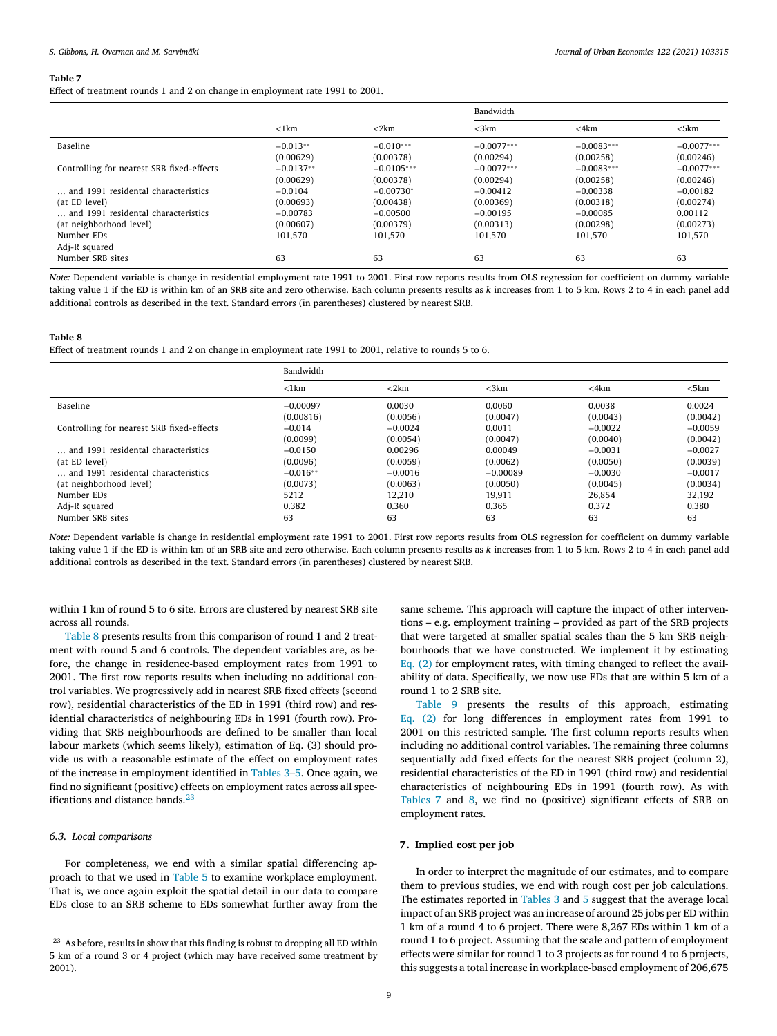<span id="page-8-0"></span>Effect of treatment rounds 1 and 2 on change in employment rate 1991 to 2001.

|                                           |             |              | Bandwidth    |              |              |
|-------------------------------------------|-------------|--------------|--------------|--------------|--------------|
|                                           | $<$ 1 $km$  | $<$ 2 $km$   | $<$ 3 $km$   | $<$ 4 $km$   | $<$ 5 $km$   |
| Baseline                                  | $-0.013**$  | $-0.010***$  | $-0.0077***$ | $-0.0083***$ | $-0.0077***$ |
|                                           | (0.00629)   | (0.00378)    | (0.00294)    | (0.00258)    | (0.00246)    |
| Controlling for nearest SRB fixed-effects | $-0.0137**$ | $-0.0105***$ | $-0.0077***$ | $-0.0083***$ | $-0.0077***$ |
|                                           | (0.00629)   | (0.00378)    | (0.00294)    | (0.00258)    | (0.00246)    |
| and 1991 residental characteristics       | $-0.0104$   | $-0.00730*$  | $-0.00412$   | $-0.00338$   | $-0.00182$   |
| (at ED level)                             | (0.00693)   | (0.00438)    | (0.00369)    | (0.00318)    | (0.00274)    |
| and 1991 residental characteristics       | $-0.00783$  | $-0.00500$   | $-0.00195$   | $-0.00085$   | 0.00112      |
| (at neighborhood level)                   | (0.00607)   | (0.00379)    | (0.00313)    | (0.00298)    | (0.00273)    |
| Number EDs                                | 101.570     | 101.570      | 101.570      | 101.570      | 101.570      |
| Adj-R squared                             |             |              |              |              |              |
| Number SRB sites                          | 63          | 63           | 63           | 63           | 63           |

*Note:* Dependent variable is change in residential employment rate 1991 to 2001. First row reports results from OLS regression for coefficient on dummy variable taking value 1 if the ED is within km of an SRB site and zero otherwise. Each column presents results as *k* increases from 1 to 5 km. Rows 2 to 4 in each panel add additional controls as described in the text. Standard errors (in parentheses) clustered by nearest SRB.

#### **Table 8**

Effect of treatment rounds 1 and 2 on change in employment rate 1991 to 2001, relative to rounds 5 to 6.

|                                           | Bandwidth  |            |            |            |            |
|-------------------------------------------|------------|------------|------------|------------|------------|
|                                           | $<$ 1 $km$ | $<$ 2 $km$ | $<$ 3 $km$ | $<$ 4 $km$ | $<$ 5 $km$ |
| Baseline                                  | $-0.00097$ | 0.0030     | 0.0060     | 0.0038     | 0.0024     |
|                                           | (0.00816)  | (0.0056)   | (0.0047)   | (0.0043)   | (0.0042)   |
| Controlling for nearest SRB fixed-effects | $-0.014$   | $-0.0024$  | 0.0011     | $-0.0022$  | $-0.0059$  |
|                                           | (0.0099)   | (0.0054)   | (0.0047)   | (0.0040)   | (0.0042)   |
| and 1991 residental characteristics       | $-0.0150$  | 0.00296    | 0.00049    | $-0.0031$  | $-0.0027$  |
| (at ED level)                             | (0.0096)   | (0.0059)   | (0.0062)   | (0.0050)   | (0.0039)   |
| and 1991 residental characteristics       | $-0.016**$ | $-0.0016$  | $-0.00089$ | $-0.0030$  | $-0.0017$  |
| (at neighborhood level)                   | (0.0073)   | (0.0063)   | (0.0050)   | (0.0045)   | (0.0034)   |
| Number EDs                                | 5212       | 12.210     | 19.911     | 26.854     | 32.192     |
| Adj-R squared                             | 0.382      | 0.360      | 0.365      | 0.372      | 0.380      |
| Number SRB sites                          | 63         | 63         | 63         | 63         | 63         |

*Note:* Dependent variable is change in residential employment rate 1991 to 2001. First row reports results from OLS regression for coefficient on dummy variable taking value 1 if the ED is within km of an SRB site and zero otherwise. Each column presents results as *k* increases from 1 to 5 km. Rows 2 to 4 in each panel add additional controls as described in the text. Standard errors (in parentheses) clustered by nearest SRB.

within 1 km of round 5 to 6 site. Errors are clustered by nearest SRB site across all rounds.

Table 8 presents results from this comparison of round 1 and 2 treatment with round 5 and 6 controls. The dependent variables are, as before, the change in residence-based employment rates from 1991 to 2001. The first row reports results when including no additional control variables. We progressively add in nearest SRB fixed effects (second row), residential characteristics of the ED in 1991 (third row) and residential characteristics of neighbouring EDs in 1991 (fourth row). Providing that SRB neighbourhoods are defined to be smaller than local labour markets (which seems likely), estimation of Eq. (3) should provide us with a reasonable estimate of the effect on employment rates of the increase in employment identified in [Tables](#page-5-0) 3[–5.](#page-6-0) Once again, we find no significant (positive) effects on employment rates across all specifications and distance bands.<sup>23</sup>

## *6.3. Local comparisons*

For completeness, we end with a similar spatial differencing approach to that we used in [Table](#page-6-0) 5 to examine workplace employment. That is, we once again exploit the spatial detail in our data to compare EDs close to an SRB scheme to EDs somewhat further away from the same scheme. This approach will capture the impact of other interventions – e.g. employment training – provided as part of the SRB projects that were targeted at smaller spatial scales than the 5 km SRB neighbourhoods that we have constructed. We implement it by estimating [Eq.](#page-6-0) (2) for employment rates, with timing changed to reflect the availability of data. Specifically, we now use EDs that are within 5 km of a round 1 to 2 SRB site.

[Table](#page-9-0) 9 presents the results of this approach, estimating [Eq.](#page-6-0) (2) for long differences in employment rates from 1991 to 2001 on this restricted sample. The first column reports results when including no additional control variables. The remaining three columns sequentially add fixed effects for the nearest SRB project (column 2), residential characteristics of the ED in 1991 (third row) and residential characteristics of neighbouring EDs in 1991 (fourth row). As with Tables 7 and 8, we find no (positive) significant effects of SRB on employment rates.

## **7. Implied cost per job**

In order to interpret the magnitude of our estimates, and to compare them to previous studies, we end with rough cost per job calculations. The estimates reported in [Tables](#page-5-0) 3 and [5](#page-6-0) suggest that the average local impact of an SRB project was an increase of around 25 jobs per ED within 1 km of a round 4 to 6 project. There were 8,267 EDs within 1 km of a round 1 to 6 project. Assuming that the scale and pattern of employment effects were similar for round 1 to 3 projects as for round 4 to 6 projects, this suggests a total increase in workplace-based employment of 206,675

 $23$  As before, results in show that this finding is robust to dropping all ED within 5 km of a round 3 or 4 project (which may have received some treatment by 2001).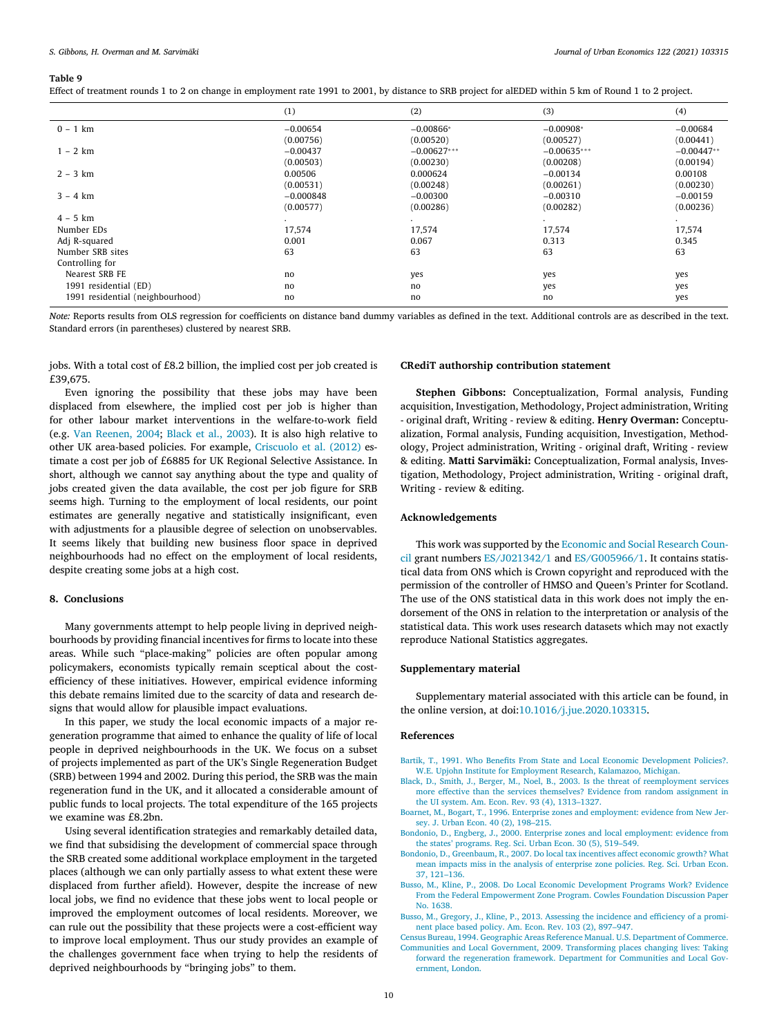<span id="page-9-0"></span>

| Effect of treatment rounds 1 to 2 on change in employment rate 1991 to 2001, by distance to SRB project for alEDED within 5 km of Round 1 to 2 project. |  |  |  |  |
|---------------------------------------------------------------------------------------------------------------------------------------------------------|--|--|--|--|
|---------------------------------------------------------------------------------------------------------------------------------------------------------|--|--|--|--|

|                                  | (1)         | (2)           | (3)           | (4)          |
|----------------------------------|-------------|---------------|---------------|--------------|
| $0 - 1$ km                       | $-0.00654$  | $-0.00866*$   | $-0.00908*$   | $-0.00684$   |
|                                  | (0.00756)   | (0.00520)     | (0.00527)     | (0.00441)    |
| $1 - 2 km$                       | $-0.00437$  | $-0.00627***$ | $-0.00635***$ | $-0.00447**$ |
|                                  | (0.00503)   | (0.00230)     | (0.00208)     | (0.00194)    |
| $2 - 3 km$                       | 0.00506     | 0.000624      | $-0.00134$    | 0.00108      |
|                                  | (0.00531)   | (0.00248)     | (0.00261)     | (0.00230)    |
| $3 - 4 km$                       | $-0.000848$ | $-0.00300$    | $-0.00310$    | $-0.00159$   |
|                                  | (0.00577)   | (0.00286)     | (0.00282)     | (0.00236)    |
| $4 - 5$ km                       | $\bullet$   | $\sim$        | $\bullet$     | $\cdot$      |
| Number EDs                       | 17,574      | 17,574        | 17,574        | 17,574       |
| Adj R-squared                    | 0.001       | 0.067         | 0.313         | 0.345        |
| Number SRB sites                 | 63          | 63            | 63            | 63           |
| Controlling for                  |             |               |               |              |
| Nearest SRB FE                   | no          | yes           | yes           | yes          |
| 1991 residential (ED)            | no          | no            | yes           | yes          |
| 1991 residential (neighbourhood) | no          | no            | no            | yes          |

*Note:* Reports results from OLS regression for coefficients on distance band dummy variables as defined in the text. Additional controls are as described in the text. Standard errors (in parentheses) clustered by nearest SRB.

jobs. With a total cost of £8.2 billion, the implied cost per job created is £39,675.

Even ignoring the possibility that these jobs may have been displaced from elsewhere, the implied cost per job is higher than for other labour market interventions in the welfare-to-work field (e.g. Van [Reenen,](#page-10-0) 2004; Black et al., 2003). It is also high relative to other UK area-based policies. For example, Criscuolo et al. (2012) estimate a cost per job of £6885 for UK Regional Selective Assistance. In short, although we cannot say anything about the type and quality of jobs created given the data available, the cost per job figure for SRB seems high. Turning to the employment of local residents, our point estimates are generally negative and statistically insignificant, even with adjustments for a plausible degree of selection on unobservables. It seems likely that building new business floor space in deprived neighbourhoods had no effect on the employment of local residents, despite creating some jobs at a high cost.

#### **8. Conclusions**

Many governments attempt to help people living in deprived neighbourhoods by providing financial incentives for firms to locate into these areas. While such "place-making" policies are often popular among policymakers, economists typically remain sceptical about the costefficiency of these initiatives. However, empirical evidence informing this debate remains limited due to the scarcity of data and research designs that would allow for plausible impact evaluations.

In this paper, we study the local economic impacts of a major regeneration programme that aimed to enhance the quality of life of local people in deprived neighbourhoods in the UK. We focus on a subset of projects implemented as part of the UK's Single Regeneration Budget (SRB) between 1994 and 2002. During this period, the SRB was the main regeneration fund in the UK, and it allocated a considerable amount of public funds to local projects. The total expenditure of the 165 projects we examine was £8.2bn.

Using several identification strategies and remarkably detailed data, we find that subsidising the development of commercial space through the SRB created some additional workplace employment in the targeted places (although we can only partially assess to what extent these were displaced from further afield). However, despite the increase of new local jobs, we find no evidence that these jobs went to local people or improved the employment outcomes of local residents. Moreover, we can rule out the possibility that these projects were a cost-efficient way to improve local employment. Thus our study provides an example of the challenges government face when trying to help the residents of deprived neighbourhoods by "bringing jobs" to them.

## **CRediT authorship contribution statement**

**Stephen Gibbons:** Conceptualization, Formal analysis, Funding acquisition, Investigation, Methodology, Project administration, Writing - original draft, Writing - review & editing. **Henry Overman:** Conceptualization, Formal analysis, Funding acquisition, Investigation, Methodology, Project administration, Writing - original draft, Writing - review & editing. **Matti Sarvimäki:** Conceptualization, Formal analysis, Investigation, Methodology, Project administration, Writing - original draft, Writing - review & editing.

## **Acknowledgements**

This work was supported by the Economic and Social Research Council grant numbers ES/J021342/1 and [ES/G005966/1.](https://doi.org/10.13039/501100000269) It contains statistical data from ONS which is Crown copyright and reproduced with the permission of the controller of HMSO and Queen's Printer for Scotland. The use of the ONS statistical data in this work does not imply the endorsement of the ONS in relation to the interpretation or analysis of the statistical data. This work uses research datasets which may not exactly reproduce National Statistics aggregates.

## **Supplementary material**

Supplementary material associated with this article can be found, in the online version, at doi[:10.1016/j.jue.2020.103315.](https://doi.org/10.1016/j.jue.2020.103315)

#### **References**

[Bartik,](http://refhub.elsevier.com/S0094-1190(20)30086-3/sbref0001) T., 1991. Who Benefits From State and Local Economic [Development](http://refhub.elsevier.com/S0094-1190(20)30086-3/sbref0001) Policies?. W.E. Upjohn Institute for Employment Research, Kalamazoo, Michigan.

- [Black,](http://refhub.elsevier.com/S0094-1190(20)30086-3/sbref0002) D., [Smith,](http://refhub.elsevier.com/S0094-1190(20)30086-3/sbref0002) J., [Berger,](http://refhub.elsevier.com/S0094-1190(20)30086-3/sbref0002) M., [Noel,](http://refhub.elsevier.com/S0094-1190(20)30086-3/sbref0002) B., 2003. Is the threat of [reemployment](http://refhub.elsevier.com/S0094-1190(20)30086-3/sbref0002) services more effective than the services themselves? Evidence from random assignment in the UI system. Am. Econ. Rev. 93 (4), 1313–1327.
- [Boarnet,](http://refhub.elsevier.com/S0094-1190(20)30086-3/sbref0003) M., [Bogart,](http://refhub.elsevier.com/S0094-1190(20)30086-3/sbref0003) T., 1996. Enterprise zones and [employment:](http://refhub.elsevier.com/S0094-1190(20)30086-3/sbref0003) evidence from New Jersey. J. Urban Econ. 40 (2), 198–215.
- [Bondonio,](http://refhub.elsevier.com/S0094-1190(20)30086-3/sbref0004) D., [Engberg,](http://refhub.elsevier.com/S0094-1190(20)30086-3/sbref0004) J., 2000. Enterprise zones and local [employment:](http://refhub.elsevier.com/S0094-1190(20)30086-3/sbref0004) evidence from the states' programs. Reg. Sci. Urban Econ. 30 (5), 519–549.
- [Bondonio,](http://refhub.elsevier.com/S0094-1190(20)30086-3/sbref0005) D., [Greenbaum,](http://refhub.elsevier.com/S0094-1190(20)30086-3/sbref0005) R., 2007. Do local tax incentives affect economic growth? What mean impacts miss in the analysis of enterprise zone policies. Reg. Sci. Urban Econ. 37, 121–136.
- [Busso,](http://refhub.elsevier.com/S0094-1190(20)30086-3/sbref0006) M., [Kline,](http://refhub.elsevier.com/S0094-1190(20)30086-3/sbref0006) P., 2008. Do Local Economic Development Programs Work? Evidence From the Federal [Empowerment](http://refhub.elsevier.com/S0094-1190(20)30086-3/sbref0006) Zone Program. Cowles Foundation Discussion Paper No. 1638.
- [Busso,](http://refhub.elsevier.com/S0094-1190(20)30086-3/sbref0007) M., [Gregory,](http://refhub.elsevier.com/S0094-1190(20)30086-3/sbref0007) J., [Kline,](http://refhub.elsevier.com/S0094-1190(20)30086-3/sbref0007) P., 2013. Assessing the incidence and [efficiency](http://refhub.elsevier.com/S0094-1190(20)30086-3/sbref0007) of a prominent place based policy. Am. Econ. Rev. 103 (2), 897–947.
- Census Bureau, 1994. Geographic Areas Reference Manual. U.S. [Department](http://refhub.elsevier.com/S0094-1190(20)30086-3/sbref0008) of Commerce. Communities and Local Government, 2009. [Transforming](http://refhub.elsevier.com/S0094-1190(20)30086-3/optqirZgA0Rng) places changing lives: Taking forward the regeneration framework. Department for Communities and Local Government, London.